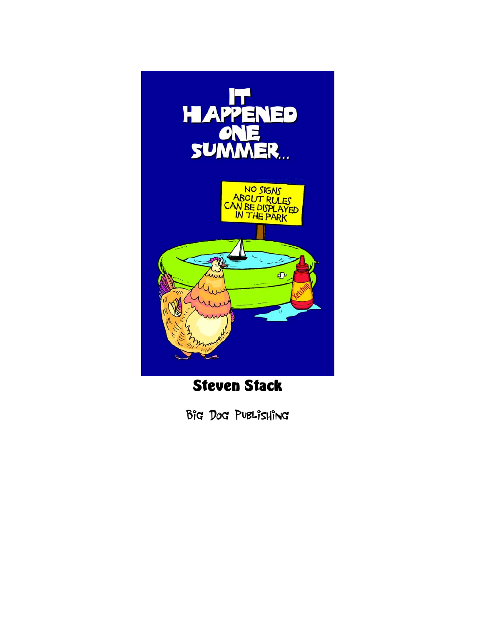

Steven Stack

Big Dog Publishing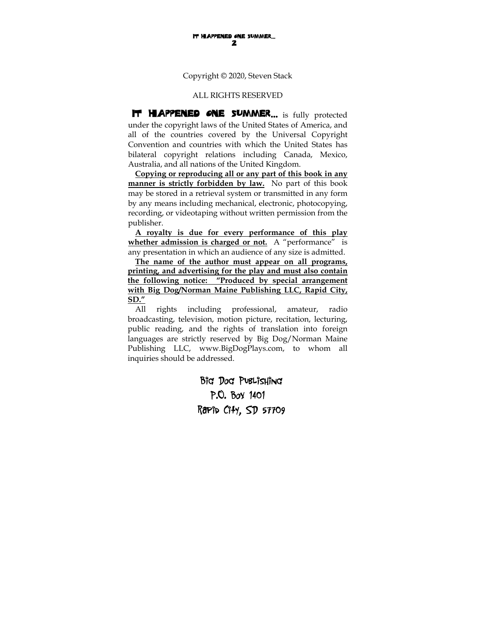Copyright © 2020, Steven Stack

#### ALL RIGHTS RESERVED

**IT HAPPENED ONE SUMMER...** is fully protected under the copyright laws of the United States of America, and all of the countries covered by the Universal Copyright Convention and countries with which the United States has bilateral copyright relations including Canada, Mexico, Australia, and all nations of the United Kingdom.

**Copying or reproducing all or any part of this book in any manner is strictly forbidden by law.** No part of this book may be stored in a retrieval system or transmitted in any form by any means including mechanical, electronic, photocopying, recording, or videotaping without written permission from the publisher.

**A royalty is due for every performance of this play whether admission is charged or not.** A "performance" is any presentation in which an audience of any size is admitted.

**The name of the author must appear on all programs, printing, and advertising for the play and must also contain the following notice: "Produced by special arrangement with Big Dog/Norman Maine Publishing LLC, Rapid City, SD."**

All rights including professional, amateur, radio broadcasting, television, motion picture, recitation, lecturing, public reading, and the rights of translation into foreign languages are strictly reserved by Big Dog/Norman Maine Publishing LLC, www.BigDogPlays.com, to whom all inquiries should be addressed.

> Big Dog Publishing P.O. Box 1401 Rapid City, SD 57709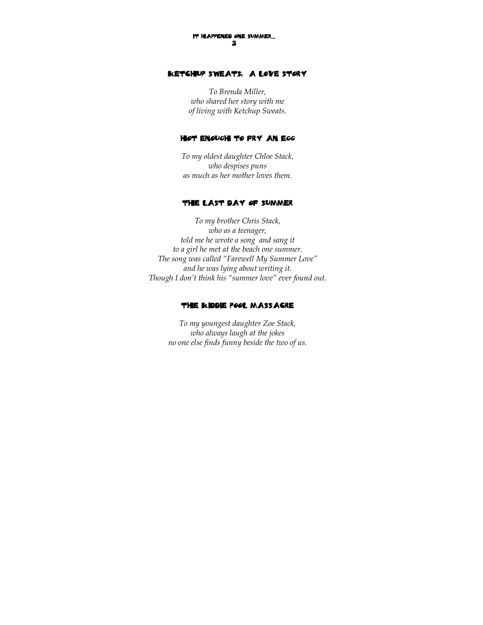## Ketchup Sweats: A Love Story

*To Brenda Miller, who shared her story with me of living with Ketchup Sweats.* 

#### Hot Enough to Fry an Egg

*To my oldest daughter Chloe Stack, who despises puns as much as her mother loves them.* 

#### The Last Day of Summer

*To my brother Chris Stack, who as a teenager, told me he wrote a song and sang it to a girl he met at the beach one summer. The song was called "Farewell My Summer Love" and he was lying about writing it. Though I don't think his "summer love" ever found out.* 

#### The Kiddie Pool Massacre

*To my youngest daughter Zoe Stack, who always laugh at the jokes no one else finds funny beside the two of us.*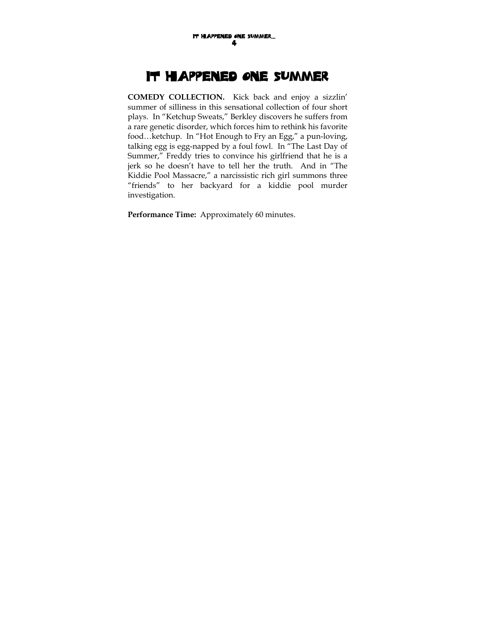# It Happened One Summer

**COMEDY COLLECTION.** Kick back and enjoy a sizzlin' summer of silliness in this sensational collection of four short plays. In "Ketchup Sweats," Berkley discovers he suffers from a rare genetic disorder, which forces him to rethink his favorite food…ketchup. In "Hot Enough to Fry an Egg," a pun-loving, talking egg is egg-napped by a foul fowl. In "The Last Day of Summer," Freddy tries to convince his girlfriend that he is a jerk so he doesn't have to tell her the truth. And in "The Kiddie Pool Massacre," a narcissistic rich girl summons three "friends" to her backyard for a kiddie pool murder investigation.

**Performance Time:** Approximately 60 minutes.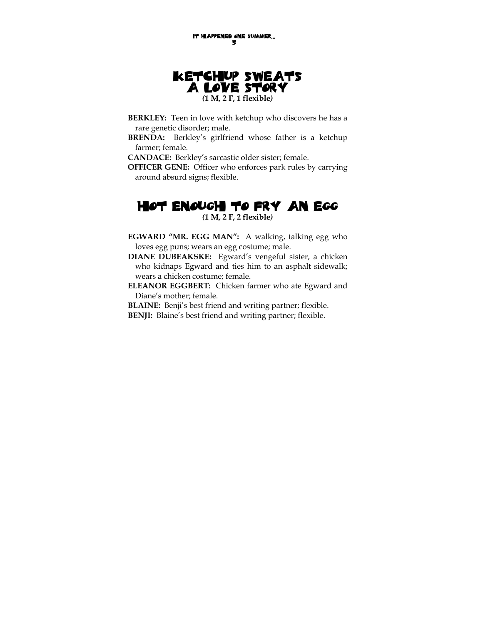

- **BERKLEY:** Teen in love with ketchup who discovers he has a rare genetic disorder; male.
- **BRENDA:** Berkley's girlfriend whose father is a ketchup farmer; female.

**CANDACE:** Berkley's sarcastic older sister; female.

**OFFICER GENE:** Officer who enforces park rules by carrying around absurd signs; flexible.

## Hot Enough to Fry an Egg *(***1 M, 2 F, 2 flexible***)*

- **EGWARD "MR. EGG MAN":** A walking, talking egg who loves egg puns; wears an egg costume; male.
- **DIANE DUBEAKSKE:** Egward's vengeful sister, a chicken who kidnaps Egward and ties him to an asphalt sidewalk; wears a chicken costume; female.
- **ELEANOR EGGBERT:** Chicken farmer who ate Egward and Diane's mother; female.
- **BLAINE:** Benji's best friend and writing partner; flexible. **BENJI:** Blaine's best friend and writing partner; flexible.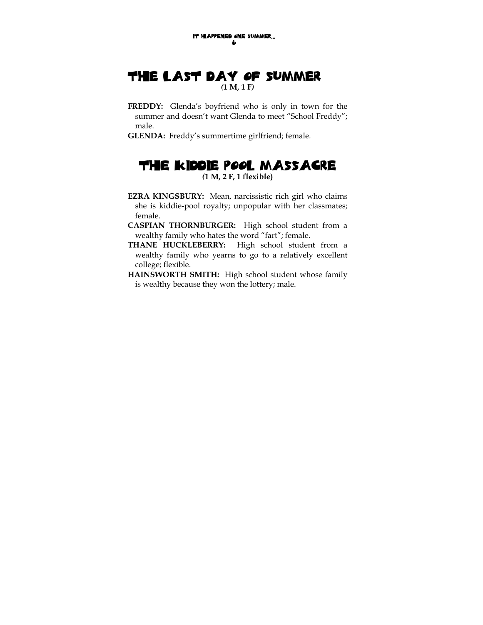# The Last Day of Summer *(***1 M, 1 F***)*

- **FREDDY:** Glenda's boyfriend who is only in town for the summer and doesn't want Glenda to meet "School Freddy"; male.
- **GLENDA:** Freddy's summertime girlfriend; female.

## The Kiddie Pool Massacre *(***1 M, 2 F, 1 flexible)**

- **EZRA KINGSBURY:** Mean, narcissistic rich girl who claims she is kiddie-pool royalty; unpopular with her classmates; female.
- **CASPIAN THORNBURGER:** High school student from a wealthy family who hates the word "fart"; female.
- **THANE HUCKLEBERRY:** High school student from a wealthy family who yearns to go to a relatively excellent college; flexible.
- **HAINSWORTH SMITH:** High school student whose family is wealthy because they won the lottery; male.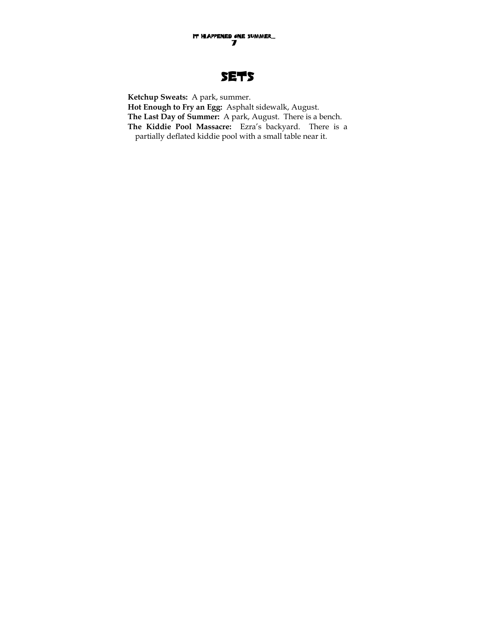# **SETS**

**Ketchup Sweats:** A park, summer. **Hot Enough to Fry an Egg:** Asphalt sidewalk, August. **The Last Day of Summer:** A park, August. There is a bench. **The Kiddie Pool Massacre:** Ezra's backyard. There is a partially deflated kiddie pool with a small table near it.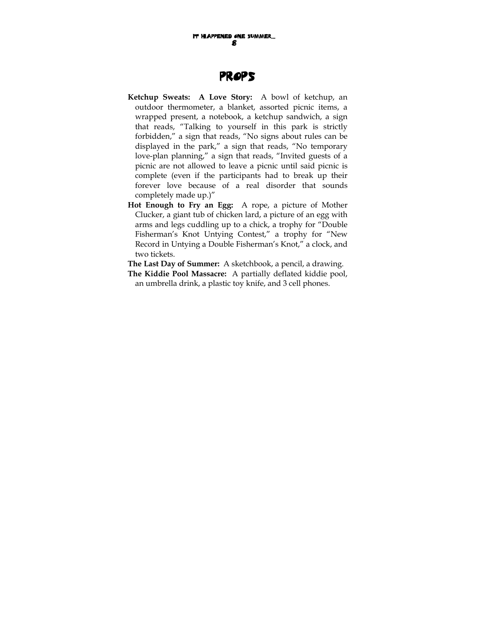# Props

- **Ketchup Sweats: A Love Story:** A bowl of ketchup, an outdoor thermometer, a blanket, assorted picnic items, a wrapped present, a notebook, a ketchup sandwich, a sign that reads, "Talking to yourself in this park is strictly forbidden," a sign that reads, "No signs about rules can be displayed in the park," a sign that reads, "No temporary love-plan planning," a sign that reads, "Invited guests of a picnic are not allowed to leave a picnic until said picnic is complete (even if the participants had to break up their forever love because of a real disorder that sounds completely made up.)"
- **Hot Enough to Fry an Egg:** A rope, a picture of Mother Clucker, a giant tub of chicken lard, a picture of an egg with arms and legs cuddling up to a chick, a trophy for "Double Fisherman's Knot Untying Contest," a trophy for "New Record in Untying a Double Fisherman's Knot," a clock, and two tickets.

**The Last Day of Summer:** A sketchbook, a pencil, a drawing.

**The Kiddie Pool Massacre:** A partially deflated kiddie pool, an umbrella drink, a plastic toy knife, and 3 cell phones.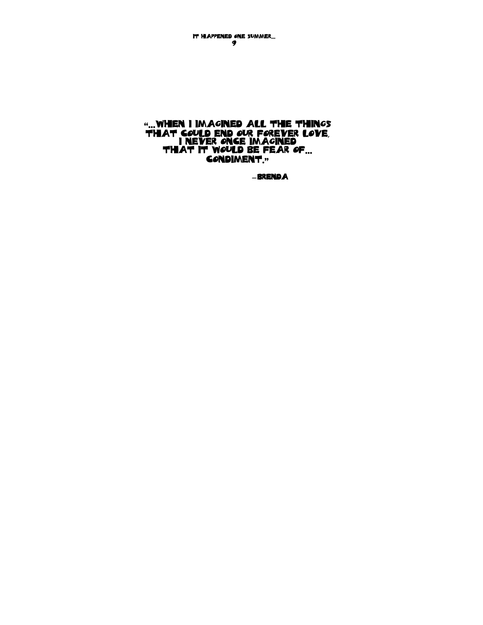It Happened One Summer… 9

## "…when I imagined all the things that could end our forever love, I never once imagined that it would be fear of… condiment."

**—**Brenda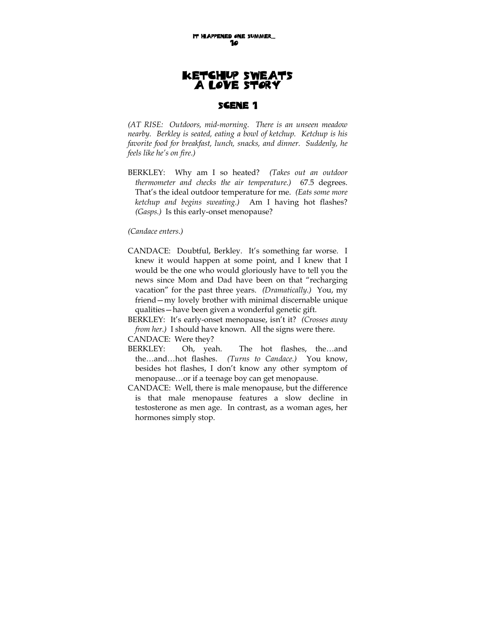# Ketchup Sweats A Love Story

## Scene 1

*(AT RISE: Outdoors, mid-morning. There is an unseen meadow nearby. Berkley is seated, eating a bowl of ketchup. Ketchup is his favorite food for breakfast, lunch, snacks, and dinner. Suddenly, he feels like he's on fire.)* 

BERKLEY: Why am I so heated? *(Takes out an outdoor thermometer and checks the air temperature.)* 67.5 degrees. That's the ideal outdoor temperature for me. *(Eats some more ketchup and begins sweating.)* Am I having hot flashes? *(Gasps.)* Is this early-onset menopause?

*(Candace enters.)* 

- CANDACE: Doubtful, Berkley. It's something far worse. I knew it would happen at some point, and I knew that I would be the one who would gloriously have to tell you the news since Mom and Dad have been on that "recharging vacation" for the past three years. *(Dramatically.)* You, my friend—my lovely brother with minimal discernable unique qualities—have been given a wonderful genetic gift.
- BERKLEY: It's early-onset menopause, isn't it? *(Crosses away from her.)* I should have known. All the signs were there. CANDACE: Were they?
- BERKLEY: Oh, yeah. The hot flashes, the…and
- the…and…hot flashes. *(Turns to Candace.)* You know, besides hot flashes, I don't know any other symptom of menopause…or if a teenage boy can get menopause.
- CANDACE: Well, there is male menopause, but the difference is that male menopause features a slow decline in testosterone as men age. In contrast, as a woman ages, her hormones simply stop.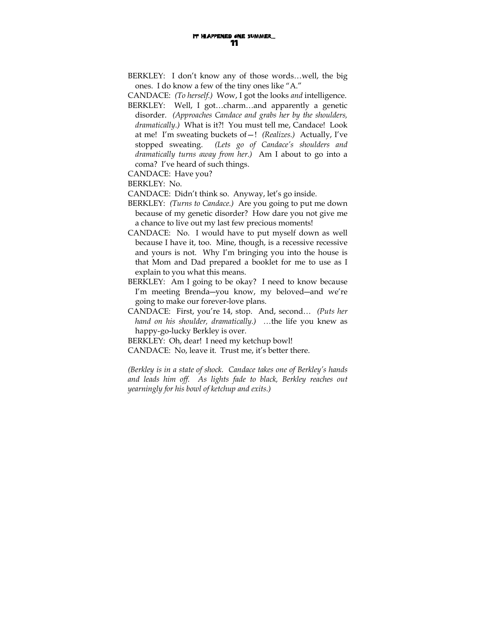- BERKLEY: I don't know any of those words…well, the big ones. I do know a few of the tiny ones like "A."
- CANDACE: *(To herself.)* Wow, I got the looks *and* intelligence.
- BERKLEY: Well, I got…charm…and apparently a genetic disorder. *(Approaches Candace and grabs her by the shoulders, dramatically.)* What is it?! You must tell me, Candace! Look at me! I'm sweating buckets of—! *(Realizes.)* Actually, I've stopped sweating. *(Lets go of Candace's shoulders and dramatically turns away from her.)* Am I about to go into a coma? I've heard of such things.

CANDACE: Have you?

BERKLEY: No.

CANDACE: Didn't think so. Anyway, let's go inside.

- BERKLEY: *(Turns to Candace.)* Are you going to put me down because of my genetic disorder? How dare you not give me a chance to live out my last few precious moments!
- CANDACE: No. I would have to put myself down as well because I have it, too. Mine, though, is a recessive recessive and yours is not. Why I'm bringing you into the house is that Mom and Dad prepared a booklet for me to use as I explain to you what this means.
- BERKLEY: Am I going to be okay? I need to know because I'm meeting Brenda―you know, my beloved―and we're going to make our forever-love plans.
- CANDACE: First, you're 14, stop. And, second… *(Puts her hand on his shoulder, dramatically.) …*the life you knew as happy-go-lucky Berkley is over.
- BERKLEY: Oh, dear! I need my ketchup bowl!
- CANDACE: No, leave it. Trust me, it's better there.

*(Berkley is in a state of shock. Candace takes one of Berkley's hands and leads him off. As lights fade to black, Berkley reaches out yearningly for his bowl of ketchup and exits.)*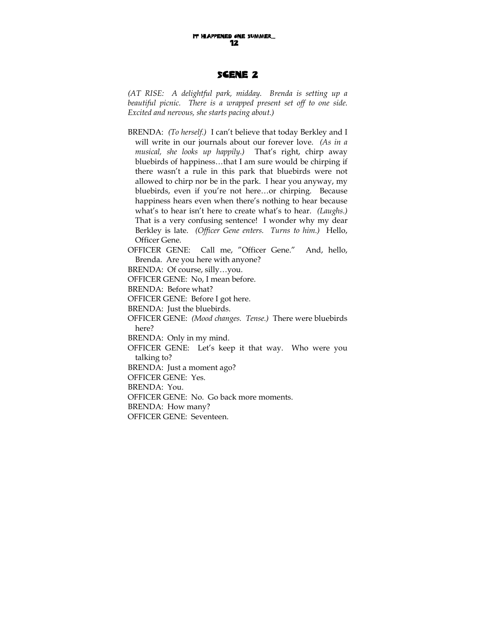#### Scene 2

*(AT RISE: A delightful park, midday. Brenda is setting up a beautiful picnic. There is a wrapped present set off to one side. Excited and nervous, she starts pacing about.)* 

BRENDA: *(To herself.)* I can't believe that today Berkley and I will write in our journals about our forever love. *(As in a musical, she looks up happily.)* That's right, chirp away bluebirds of happiness…that I am sure would be chirping if there wasn't a rule in this park that bluebirds were not allowed to chirp nor be in the park. I hear you anyway, my bluebirds, even if you're not here…or chirping. Because happiness hears even when there's nothing to hear because what's to hear isn't here to create what's to hear. *(Laughs.)*  That is a very confusing sentence! I wonder why my dear Berkley is late. *(Officer Gene enters. Turns to him.)* Hello, Officer Gene.

OFFICER GENE: Call me, "Officer Gene." And, hello, Brenda. Are you here with anyone?

BRENDA: Of course, silly…you.

OFFICER GENE: No, I mean before.

BRENDA: Before what?

OFFICER GENE: Before I got here.

BRENDA: Just the bluebirds.

OFFICER GENE: *(Mood changes. Tense.)* There were bluebirds here?

BRENDA: Only in my mind.

OFFICER GENE: Let's keep it that way. Who were you talking to?

BRENDA: Just a moment ago?

OFFICER GENE: Yes.

BRENDA: You.

OFFICER GENE: No. Go back more moments.

BRENDA: How many?

OFFICER GENE: Seventeen.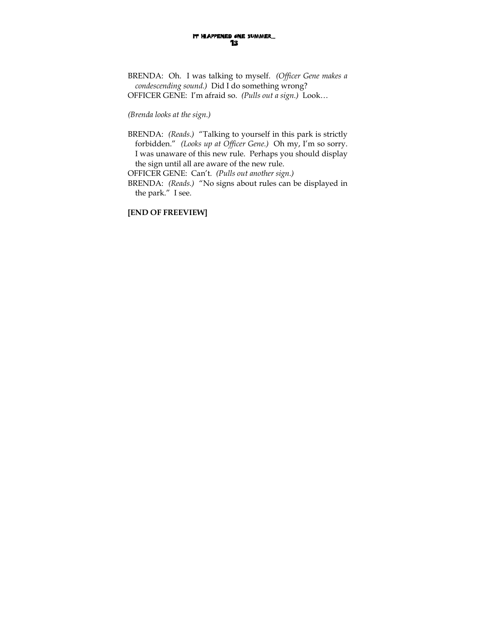BRENDA: Oh. I was talking to myself. *(Officer Gene makes a condescending sound.)* Did I do something wrong? OFFICER GENE: I'm afraid so. *(Pulls out a sign.)* Look…

#### *(Brenda looks at the sign.)*

- BRENDA: *(Reads.)* "Talking to yourself in this park is strictly forbidden." *(Looks up at Officer Gene.)* Oh my, I'm so sorry. I was unaware of this new rule. Perhaps you should display the sign until all are aware of the new rule.
- OFFICER GENE: Can't. *(Pulls out another sign.)*
- BRENDA: *(Reads.)* "No signs about rules can be displayed in the park." I see.

**[END OF FREEVIEW]**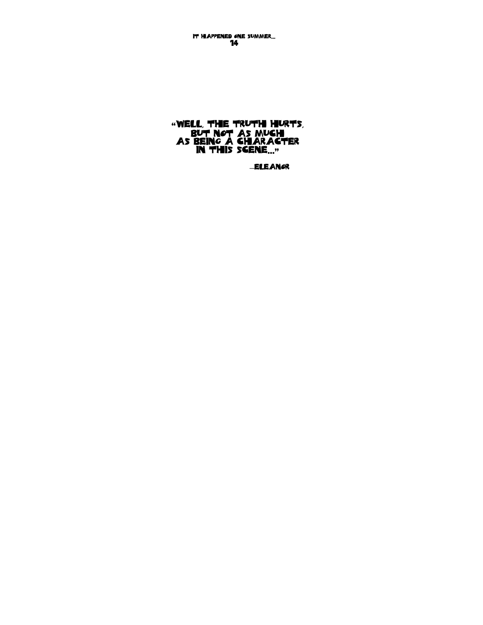―Eleanor

"Well, the truth hurts, but not as much as being a character in this scene…"

It Happened One Summer… 14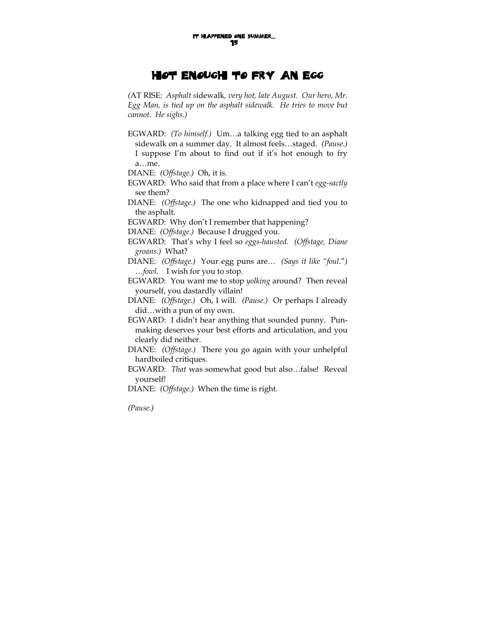# Hot Enough to Fry an Egg

*(*AT RISE: *Asphalt s*idewalk*, very hot, late August. Our hero, Mr. Egg Man, is tied up on the asphalt sidewalk. He tries to move but cannot. He sighs.)* 

EGWARD: *(To himself.)* Um…a talking egg tied to an asphalt sidewalk on a summer day. It almost feels…staged. *(Pause.)*  I suppose I'm about to find out if it's hot enough to fry a…me.

DIANE: *(Offstage.)* Oh, it is.

- EGWARD: Who said that from a place where I can't *egg-sactly* see them?
- DIANE: *(Offstage.)* The one who kidnapped and tied you to the asphalt.

EGWARD: Why don't I remember that happening?

DIANE: *(Offstage.)* Because I drugged you.

- EGWARD: That's why I feel so *eggs-hausted*. *(Offstage, Diane groans.)* What?
- DIANE: *(Offstage.)* Your egg puns are… *(Says it like "foul*."*) …fowl*. I wish for you to stop.

EGWARD: You want me to stop *yolking* around? Then reveal yourself, you dastardly villain!

- DIANE: *(Offstage.)* Oh, I will. *(Pause.)* Or perhaps I already did…with a pun of my own.
- EGWARD: I didn't hear anything that sounded punny. Punmaking deserves your best efforts and articulation, and you clearly did neither.
- DIANE: *(Offstage.)* There you go again with your unhelpful hardboiled critiques.
- EGWARD: *That* was somewhat good but also…false! Reveal yourself!

DIANE: *(Offstage.)* When the time is right.

*(Pause.)*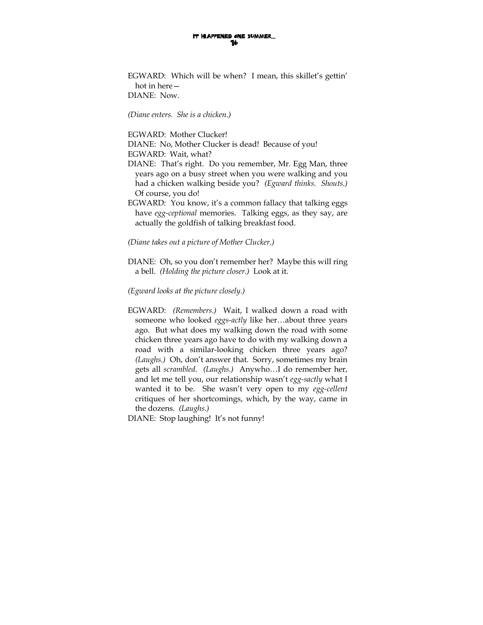EGWARD: Which will be when? I mean, this skillet's gettin' hot in here— DIANE: Now.

*(Diane enters. She is a chicken.)* 

EGWARD: Mother Clucker!

DIANE: No, Mother Clucker is dead! Because of you! EGWARD: Wait, what?

- DIANE: That's right. Do you remember, Mr. Egg Man, three years ago on a busy street when you were walking and you had a chicken walking beside you? *(Egward thinks. Shouts.)*  Of course, you do!
- EGWARD: You know, it's a common fallacy that talking eggs have *egg-ceptional* memories. Talking eggs, as they say, are actually the goldfish of talking breakfast food.

*(Diane takes out a picture of Mother Clucker.)* 

DIANE: Oh, so you don't remember her? Maybe this will ring a bell. *(Holding the picture closer.)* Look at it.

*(Egward looks at the picture closely.)* 

EGWARD: *(Remembers.)* Wait, I walked down a road with someone who looked *eggs-actly* like her…about three years ago. But what does my walking down the road with some chicken three years ago have to do with my walking down a road with a similar-looking chicken three years ago? *(Laughs.)* Oh, don't answer that. Sorry, sometimes my brain gets all *scrambled*. *(Laughs.)* Anywho…I do remember her, and let me tell you, our relationship wasn't *egg-sactly* what I wanted it to be. She wasn't very open to my *egg-cellent* critiques of her shortcomings, which, by the way, came in the dozens. *(Laughs.)* 

DIANE: Stop laughing! It's not funny!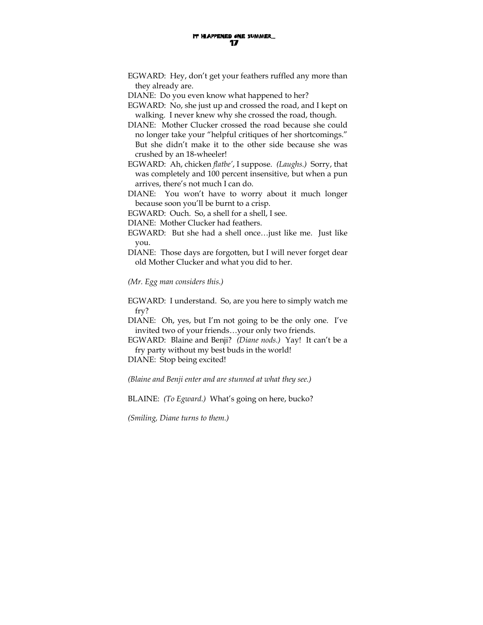- EGWARD: Hey, don't get your feathers ruffled any more than they already are.
- DIANE: Do you even know what happened to her?
- EGWARD: No, she just up and crossed the road, and I kept on walking. I never knew why she crossed the road, though.
- DIANE: Mother Clucker crossed the road because she could no longer take your "helpful critiques of her shortcomings." But she didn't make it to the other side because she was crushed by an 18-wheeler!
- EGWARD: Ah, chicken *flatbe'*, I suppose. *(Laughs.)* Sorry, that was completely and 100 percent insensitive, but when a pun arrives, there's not much I can do.
- DIANE: You won't have to worry about it much longer because soon you'll be burnt to a crisp.
- EGWARD: Ouch. So, a shell for a shell, I see.
- DIANE: Mother Clucker had feathers.
- EGWARD: But she had a shell once…just like me. Just like you.
- DIANE: Those days are forgotten, but I will never forget dear old Mother Clucker and what you did to her.

*(Mr. Egg man considers this.)* 

EGWARD: I understand. So, are you here to simply watch me fry?

DIANE: Oh, yes, but I'm not going to be the only one. I've invited two of your friends…your only two friends.

EGWARD: Blaine and Benji? *(Diane nods.)* Yay! It can't be a fry party without my best buds in the world!

DIANE: Stop being excited!

*(Blaine and Benji enter and are stunned at what they see.)* 

BLAINE: *(To Egward.)* What's going on here, bucko?

*(Smiling, Diane turns to them.)*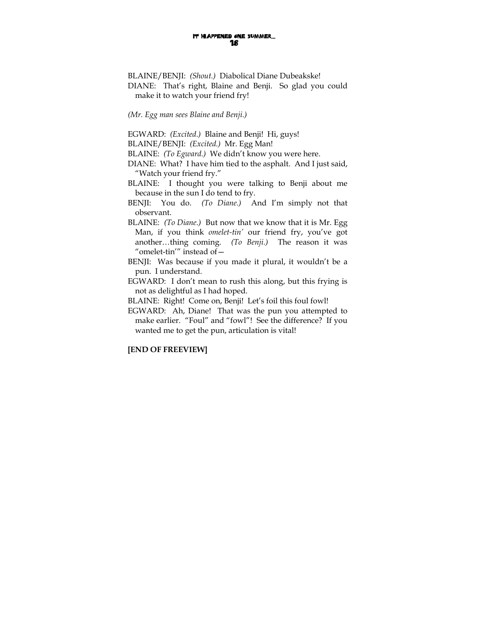BLAINE/BENJI: *(Shout.)* Diabolical Diane Dubeakske! DIANE: That's right, Blaine and Benji. So glad you could make it to watch your friend fry!

*(Mr. Egg man sees Blaine and Benji.)* 

EGWARD: *(Excited.)* Blaine and Benji! Hi, guys!

BLAINE/BENJI: *(Excited.)* Mr. Egg Man!

BLAINE: *(To Egward.)* We didn't know you were here.

- DIANE: What? I have him tied to the asphalt. And I just said, "Watch your friend fry."
- BLAINE: I thought you were talking to Benji about me because in the sun I do tend to fry.

BENJI: You do. *(To Diane.)* And I'm simply not that observant.

BLAINE: *(To Diane.)* But now that we know that it is Mr. Egg Man, if you think *omelet-tin'* our friend fry, you've got another…thing coming. *(To Benji.)* The reason it was "omelet-tin'" instead of—

BENJI: Was because if you made it plural, it wouldn't be a pun. I understand.

EGWARD: I don't mean to rush this along, but this frying is not as delightful as I had hoped.

BLAINE: Right! Come on, Benji! Let's foil this foul fowl!

EGWARD: Ah, Diane! That was the pun you attempted to make earlier. "Foul" and "fowl"! See the difference? If you wanted me to get the pun, articulation is vital!

#### **[END OF FREEVIEW]**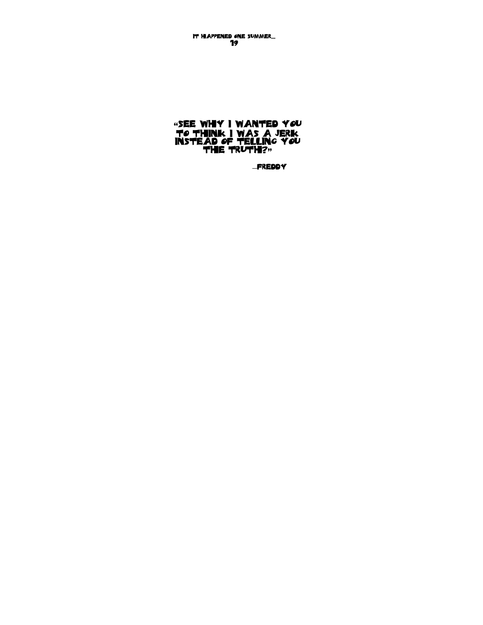―Freddy

## "See why I wanted you to think I was a jerk instead of telling you **the truth?"**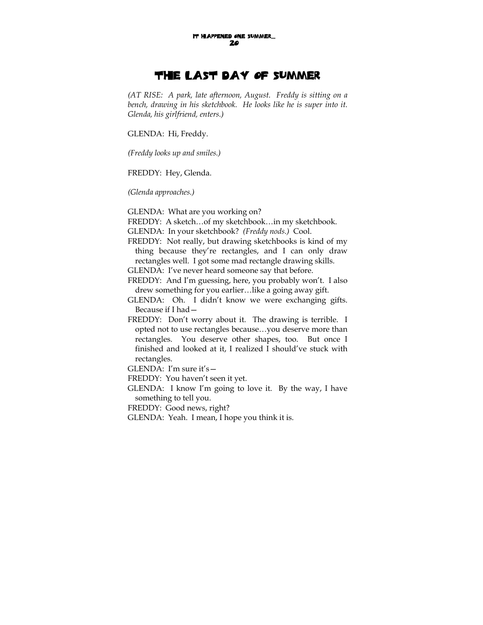## The Last Day of Summer

*(AT RISE: A park, late afternoon, August. Freddy is sitting on a bench, drawing in his sketchbook. He looks like he is super into it. Glenda, his girlfriend, enters.)* 

GLENDA: Hi, Freddy.

*(Freddy looks up and smiles.)* 

FREDDY: Hey, Glenda.

*(Glenda approaches.)* 

GLENDA: What are you working on?

FREDDY: A sketch…of my sketchbook…in my sketchbook.

GLENDA: In your sketchbook? *(Freddy nods.)* Cool.

FREDDY: Not really, but drawing sketchbooks is kind of my thing because they're rectangles, and I can only draw rectangles well. I got some mad rectangle drawing skills.

GLENDA: I've never heard someone say that before.

FREDDY: And I'm guessing, here, you probably won't. I also drew something for you earlier…like a going away gift.

GLENDA: Oh. I didn't know we were exchanging gifts. Because if I had—

FREDDY: Don't worry about it. The drawing is terrible. I opted not to use rectangles because…you deserve more than rectangles. You deserve other shapes, too. But once I finished and looked at it, I realized I should've stuck with rectangles.

GLENDA: I'm sure it's—

FREDDY: You haven't seen it yet.

GLENDA: I know I'm going to love it. By the way, I have something to tell you.

FREDDY: Good news, right?

GLENDA: Yeah. I mean, I hope you think it is.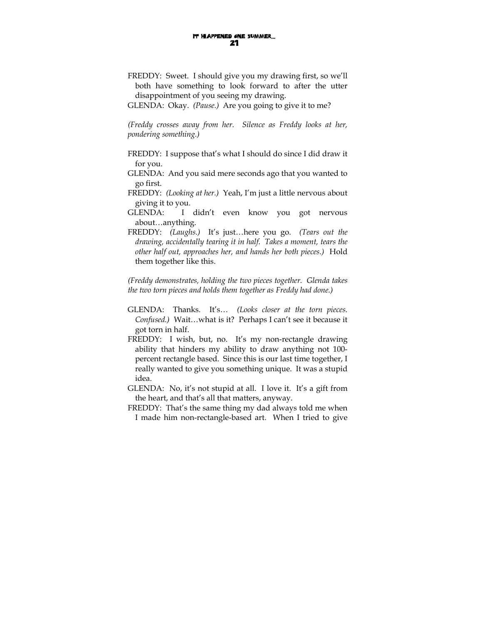FREDDY: Sweet. I should give you my drawing first, so we'll both have something to look forward to after the utter disappointment of you seeing my drawing.

GLENDA: Okay. *(Pause.)* Are you going to give it to me?

*(Freddy crosses away from her. Silence as Freddy looks at her, pondering something.)* 

- FREDDY: I suppose that's what I should do since I did draw it for you.
- GLENDA: And you said mere seconds ago that you wanted to go first.
- FREDDY: *(Looking at her.)* Yeah, I'm just a little nervous about giving it to you.
- GLENDA: I didn't even know you got nervous about…anything.
- FREDDY: *(Laughs.)* It's just…here you go. *(Tears out the drawing, accidentally tearing it in half. Takes a moment, tears the other half out, approaches her, and hands her both pieces.)* Hold them together like this.

*(Freddy demonstrates, holding the two pieces together. Glenda takes the two torn pieces and holds them together as Freddy had done.)* 

- GLENDA: Thanks. It's… *(Looks closer at the torn pieces. Confused.)* Wait…what is it? Perhaps I can't see it because it got torn in half.
- FREDDY: I wish, but, no. It's my non-rectangle drawing ability that hinders my ability to draw anything not 100 percent rectangle based. Since this is our last time together, I really wanted to give you something unique. It was a stupid idea.
- GLENDA: No, it's not stupid at all. I love it. It's a gift from the heart, and that's all that matters, anyway.
- FREDDY: That's the same thing my dad always told me when I made him non-rectangle-based art. When I tried to give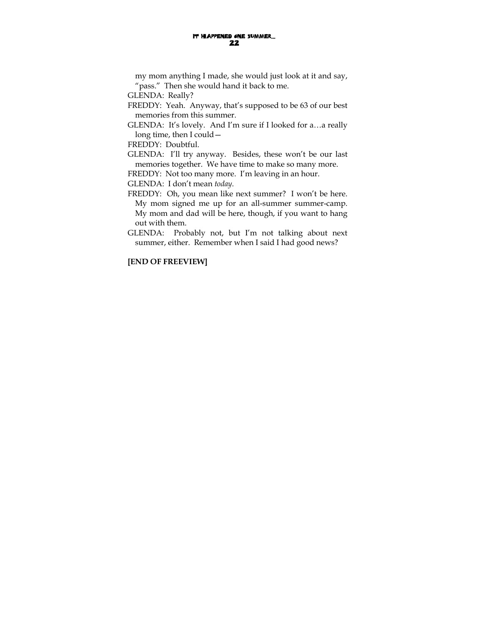my mom anything I made, she would just look at it and say, "pass." Then she would hand it back to me.

GLENDA: Really?

FREDDY: Yeah. Anyway, that's supposed to be 63 of our best memories from this summer.

GLENDA: It's lovely. And I'm sure if I looked for a…a really long time, then I could—

FREDDY: Doubtful.

GLENDA: I'll try anyway. Besides, these won't be our last memories together. We have time to make so many more.

FREDDY: Not too many more. I'm leaving in an hour.

GLENDA: I don't mean *today*.

FREDDY: Oh, you mean like next summer? I won't be here. My mom signed me up for an all-summer summer-camp. My mom and dad will be here, though, if you want to hang out with them.

GLENDA: Probably not, but I'm not talking about next summer, either. Remember when I said I had good news?

### **[END OF FREEVIEW]**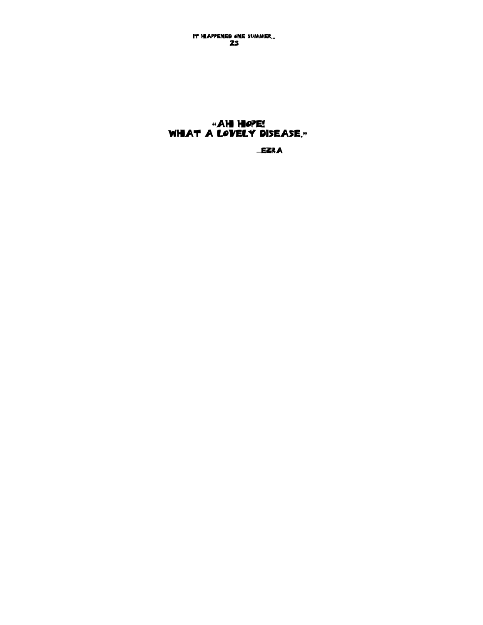It Happened One Summer… 23

## "ah hope! What a lovely disease."

―ezra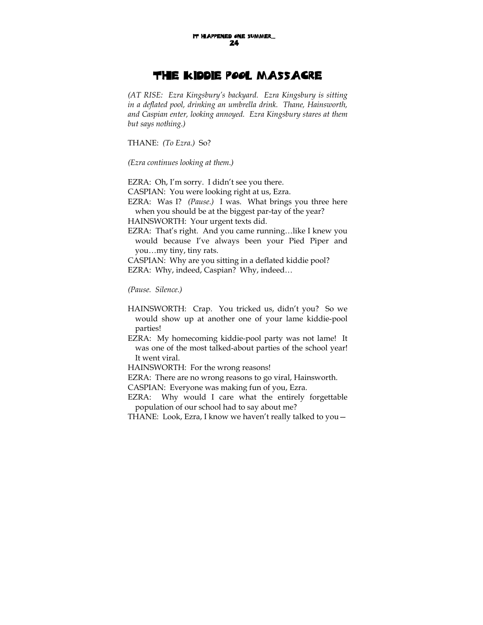## The Kiddie Pool Massacre

*(AT RISE: Ezra Kingsbury's backyard. Ezra Kingsbury is sitting in a deflated pool, drinking an umbrella drink. Thane, Hainsworth, and Caspian enter, looking annoyed. Ezra Kingsbury stares at them but says nothing.)* 

THANE: *(To Ezra.)* So?

*(Ezra continues looking at them.)* 

EZRA: Oh, I'm sorry. I didn't see you there.

CASPIAN: You were looking right at us, Ezra.

EZRA: Was I? *(Pause.)* I was. What brings you three here when you should be at the biggest par-tay of the year?

HAINSWORTH: Your urgent texts did.

EZRA: That's right. And you came running…like I knew you would because I've always been your Pied Piper and you…my tiny, tiny rats.

CASPIAN: Why are you sitting in a deflated kiddie pool? EZRA: Why, indeed, Caspian? Why, indeed…

*(Pause. Silence.)* 

HAINSWORTH: Crap. You tricked us, didn't you? So we would show up at another one of your lame kiddie-pool parties!

EZRA: My homecoming kiddie-pool party was not lame! It was one of the most talked-about parties of the school year! It went viral.

HAINSWORTH: For the wrong reasons!

EZRA: There are no wrong reasons to go viral, Hainsworth.

CASPIAN: Everyone was making fun of you, Ezra.

EZRA: Why would I care what the entirely forgettable population of our school had to say about me?

THANE: Look, Ezra, I know we haven't really talked to you—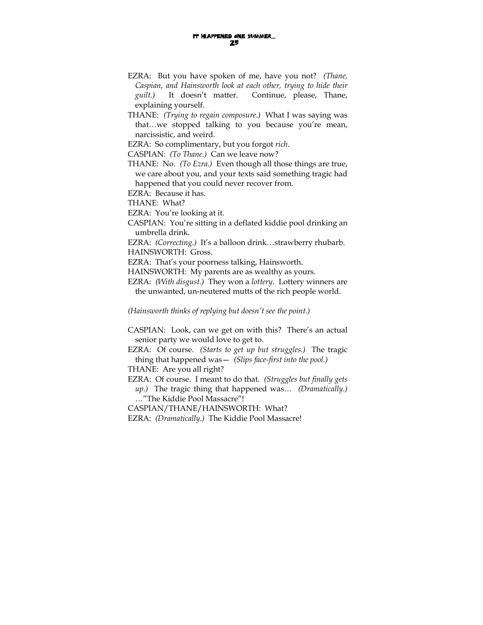- EZRA: But you have spoken of me, have you not? *(Thane, Caspian, and Hainsworth look at each other, trying to hide their guilt.)* It doesn't matter. Continue, please, Thane, explaining yourself.
- THANE: *(Trying to regain composure.)* What I was saying was that…we stopped talking to you because you're mean, narcissistic, and weird.

EZRA: So complimentary, but you forgot *rich*.

CASPIAN: *(To Thane.)* Can we leave now?

THANE: No. *(To Ezra.)* Even though all those things are true, we care about you, and your texts said something tragic had happened that you could never recover from.

EZRA: Because it has.

THANE: What?

EZRA: You're looking at it.

CASPIAN: You're sitting in a deflated kiddie pool drinking an umbrella drink.

EZRA: *(Correcting.)* It's a balloon drink…strawberry rhubarb. HAINSWORTH: Gross.

EZRA: That's your poorness talking, Hainsworth.

HAINSWORTH: My parents are as wealthy as yours.

EZRA: *(With disgust.)* They won a *lottery*. Lottery winners are the unwanted, un-neutered mutts of the rich people world.

*(Hainsworth thinks of replying but doesn't see the point.)* 

- CASPIAN: Look, can we get on with this? There's an actual senior party we would love to get to.
- EZRA: Of course. *(Starts to get up but struggles.)* The tragic thing that happened was— *(Slips face-first into the pool.)*
- THANE: Are you all right?
- EZRA: Of course. I meant to do that. *(Struggles but finally gets up.)* The tragic thing that happened was… *(Dramatically.)* …"The Kiddie Pool Massacre"!

CASPIAN/THANE/HAINSWORTH: What?

EZRA: *(Dramatically.)* The Kiddie Pool Massacre!